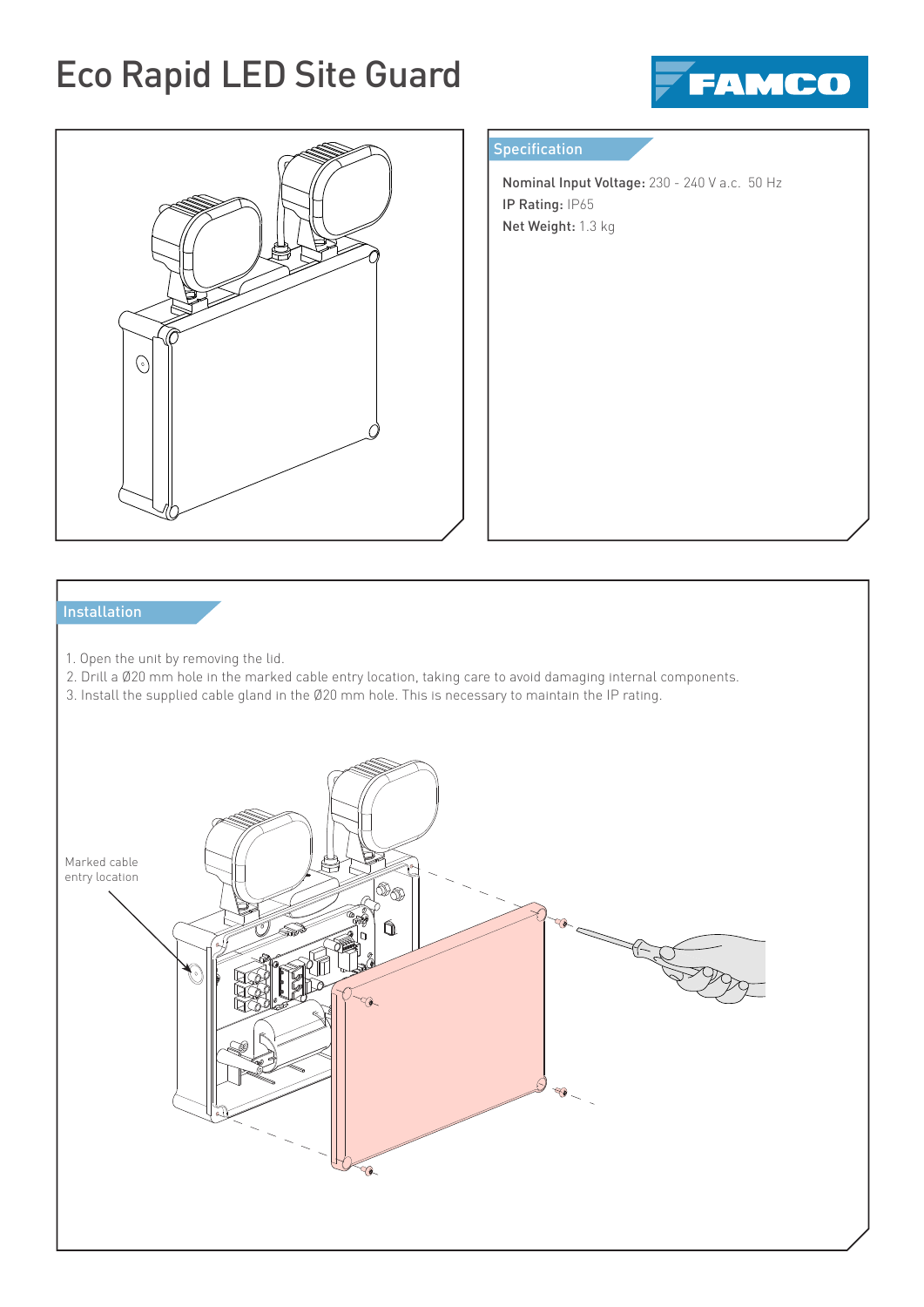## Eco Rapid LED Site Guard





### Specification

Г ŀ

> Nominal Input Voltage: 230 - 240 V a.c. 50 Hz IP Rating: IP65 Net Weight: 1.3 kg

### **Installation**

- 1. Open the unit by removing the lid.
- 2. Drill a Ø20 mm hole in the marked cable entry location, taking care to avoid damaging internal components.
- 3. Install the supplied cable gland in the Ø20 mm hole. This is necessary to maintain the IP rating.

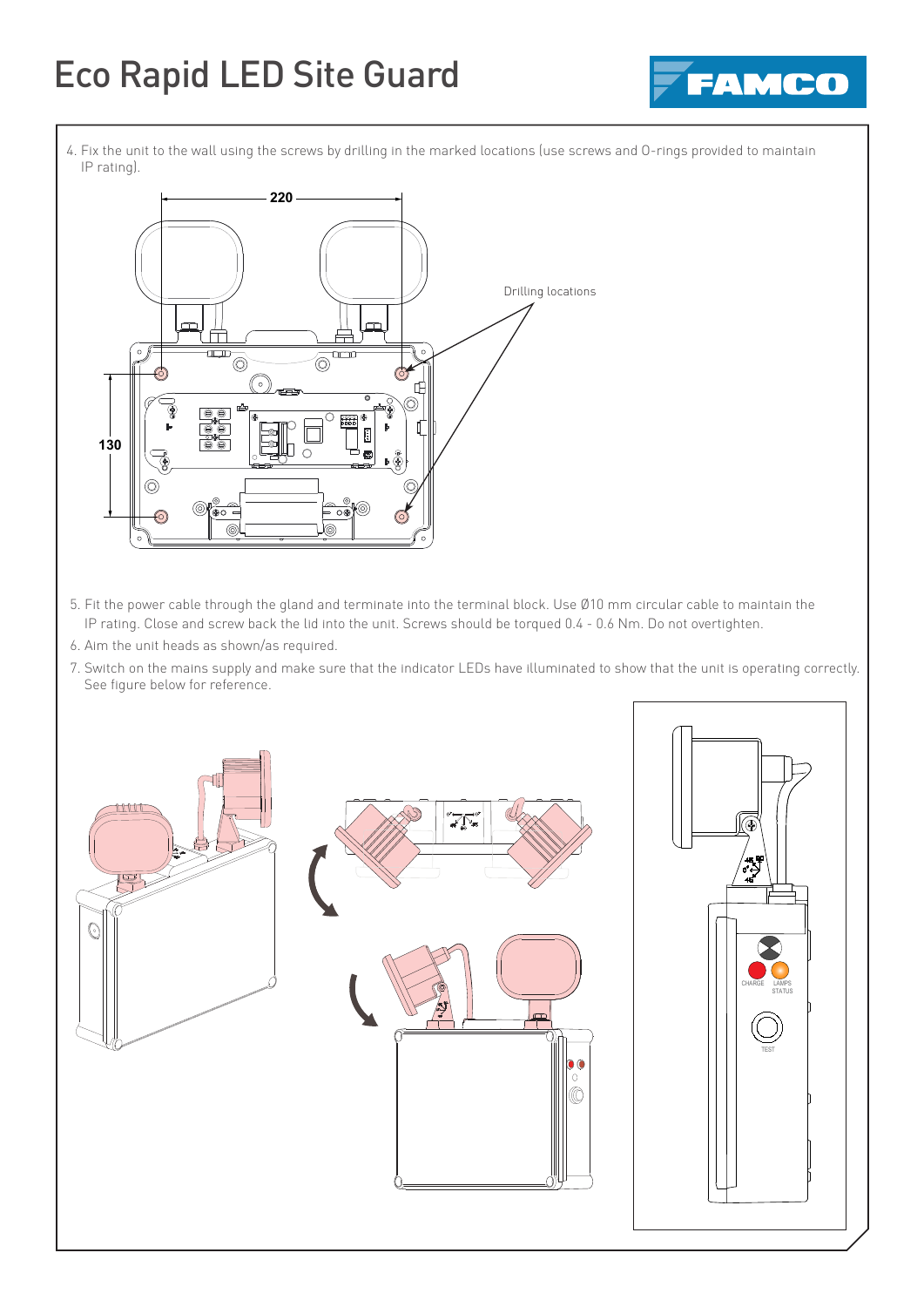# Eco Rapid LED Site Guard



 4. Fix the unit to the wall using the screws by drilling in the marked locations (use screws and O-rings provided to maintain IP rating).



- 5. Fit the power cable through the gland and terminate into the terminal block. Use Ø10 mm circular cable to maintain the IP rating. Close and screw back the lid into the unit. Screws should be torqued 0.4 - 0.6 Nm. Do not overtighten.
- 6. Aim the unit heads as shown/as required.

I

 7. Switch on the mains supply and make sure that the indicator LEDs have illuminated to show that the unit is operating correctly. See figure below for reference.